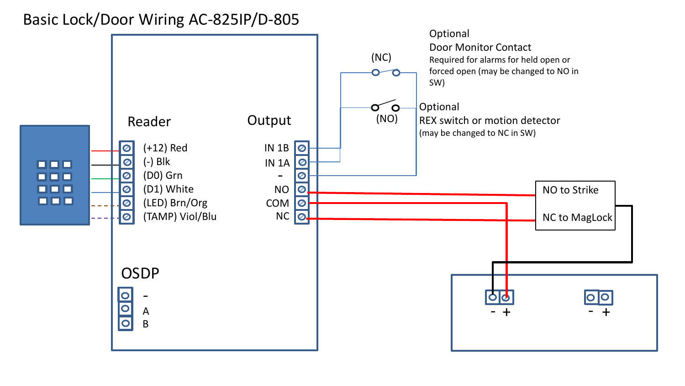## Basic Lock/Door Wiring AC-825IP/D-805

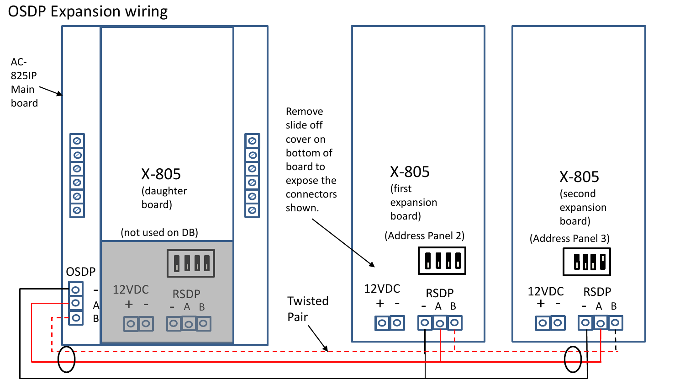## OSDP Expansion wiring

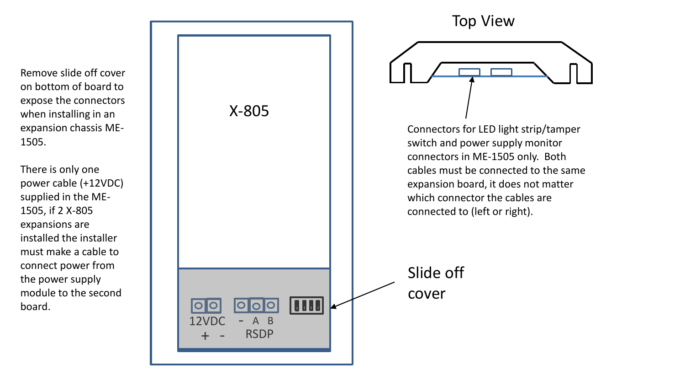Remove slide off cover on bottom of board to expose the connectors when installing in an expansion chassis ME - 1505.

There is only one power cable (+12VDC) supplied in the ME - 1505, if 2 X -805 expansions are installed the installer must make a cable to connect power from the power supply module to the second board.